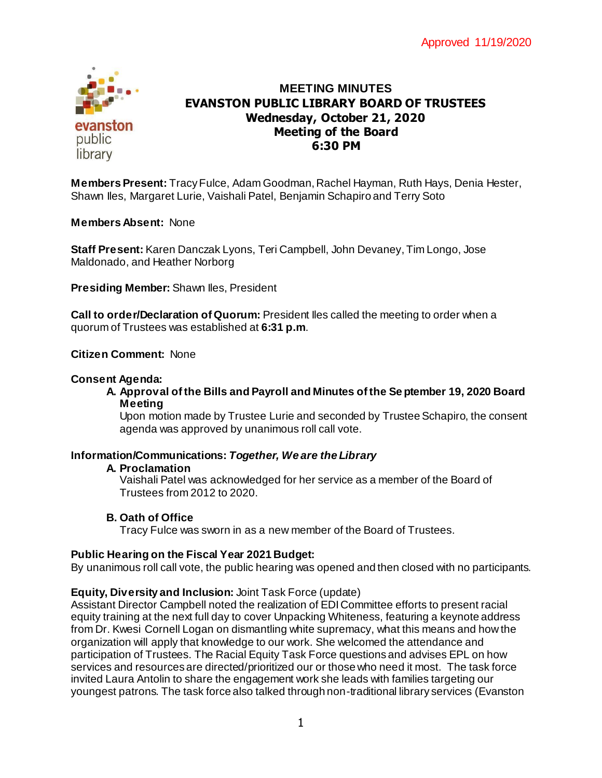

# **MEETING MINUTES EVANSTON PUBLIC LIBRARY BOARD OF TRUSTEES Wednesday, October 21, 2020 Meeting of the Board 6:30 PM**

**Members Present:** Tracy Fulce, Adam Goodman, Rachel Hayman, Ruth Hays, Denia Hester, Shawn Iles, Margaret Lurie, Vaishali Patel, Benjamin Schapiro and Terry Soto **Virtually, via Zoom**

**Members Absent:** None

**Staff Present:** Karen Danczak Lyons, Teri Campbell, John Devaney, Tim Longo, Jose Maldonado, and Heather Norborg

**Presiding Member:** Shawn Iles, President

**Call to order/Declaration of Quorum:** President Iles called the meeting to order when a quorum of Trustees was established at **6:31 p.m**.

#### **Citizen Comment:** None

#### **Consent Agenda:**

**A. Approval of the Bills and Payroll and Minutes of the Se ptember 19, 2020 Board Meeting**

Upon motion made by Trustee Lurie and seconded by Trustee Schapiro, the consent agenda was approved by unanimous roll call vote.

#### **Information/Communications:** *Together, We are the Library*

#### **A. Proclamation**

Vaishali Patel was acknowledged for her service as a member of the Board of Trustees from 2012 to 2020.

## **B. Oath of Office**

Tracy Fulce was sworn in as a new member of the Board of Trustees.

#### **Public Hearing on the Fiscal Year 2021 Budget:**

By unanimous roll call vote, the public hearing was opened and then closed with no participants.

## **Equity, Diversity and Inclusion:** Joint Task Force (update)

Assistant Director Campbell noted the realization of EDI Committee efforts to present racial equity training at the next full day to cover Unpacking Whiteness, featuring a keynote address from Dr. Kwesi Cornell Logan on dismantling white supremacy, what this means and how the organization will apply that knowledge to our work. She welcomed the attendance and participation of Trustees. The Racial Equity Task Force questions and advises EPL on how services and resources are directed/prioritized our or those who need it most. The task force invited Laura Antolin to share the engagement work she leads with families targeting our youngest patrons. The task force also talked through non-traditional library services (Evanston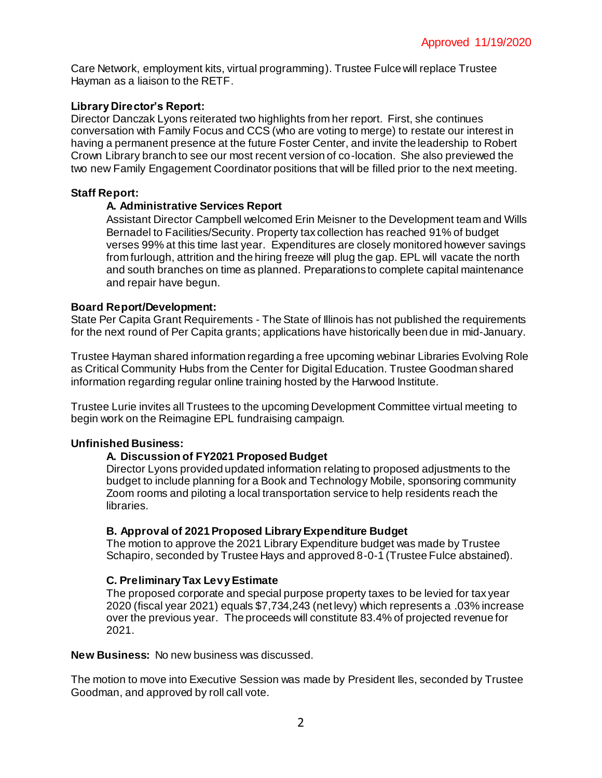Care Network, employment kits, virtual programming). Trustee Fulce will replace Trustee Hayman as a liaison to the RETF.

# **Library Director's Report:**

Director Danczak Lyons reiterated two highlights from her report. First, she continues conversation with Family Focus and CCS (who are voting to merge) to restate our interest in having a permanent presence at the future Foster Center, and invite the leadership to Robert Crown Library branch to see our most recent version of co-location. She also previewed the two new Family Engagement Coordinator positions that will be filled prior to the next meeting.

## **Staff Report:**

## **A. Administrative Services Report**

Assistant Director Campbell welcomed Erin Meisner to the Development team and Wills Bernadel to Facilities/Security. Property tax collection has reached 91% of budget verses 99% at this time last year. Expenditures are closely monitored however savings from furlough, attrition and the hiring freeze will plug the gap. EPL will vacate the north and south branches on time as planned. Preparations to complete capital maintenance and repair have begun.

## **Board Report/Development:**

State Per Capita Grant Requirements - The State of Illinois has not published the requirements for the next round of Per Capita grants; applications have historically been due in mid-January.

Trustee Hayman shared information regarding a free upcoming webinar Libraries Evolving Role as Critical Community Hubs from the Center for Digital Education. Trustee Goodman shared information regarding regular online training hosted by the Harwood Institute.

Trustee Lurie invites all Trustees to the upcoming Development Committee virtual meeting to begin work on the Reimagine EPL fundraising campaign.

## **Unfinished Business:**

# **A. Discussion of FY2021 Proposed Budget**

Director Lyons provided updated information relating to proposed adjustments to the budget to include planning for a Book and Technology Mobile, sponsoring community Zoom rooms and piloting a local transportation service to help residents reach the libraries.

## **B. Approval of 2021 Proposed Library Expenditure Budget**

The motion to approve the 2021 Library Expenditure budget was made by Trustee Schapiro, seconded by Trustee Hays and approved 8-0-1 (Trustee Fulce abstained).

## **C. Preliminary Tax Levy Estimate**

The proposed corporate and special purpose property taxes to be levied for tax year 2020 (fiscal year 2021) equals \$7,734,243 (net levy) which represents a .03% increase over the previous year. The proceeds will constitute 83.4% of projected revenue for 2021.

## **New Business:** No new business was discussed.

The motion to move into Executive Session was made by President Iles, seconded by Trustee Goodman, and approved by roll call vote.